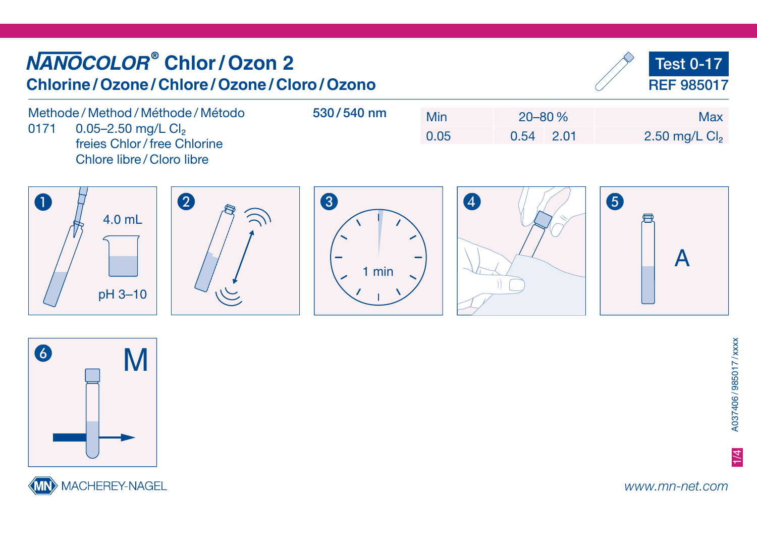## **Chlor / Ozon 2** Test 0-17 **Chlorine / Ozone / Chlore / Ozone / Cloro / Ozono**REF 985017 Methode / Method / Méthode / Método 530 / 540 nmMin 20–80 % Max0171 0.05-2.50 mg/L Cl<sub>2</sub> 0.05 0.54 2.01 2.50 mg/L Cl<sub>2</sub> freies Chlor / free Chlorine Chlore libre / Cloro libre A B C D E 8 4.0 mL氘 A1 min pH 3–10



MACHEREY-NAGEL

www.mn-net.com

1/4

A037406 / 985017 / xxxx

A037406/985017/xxxx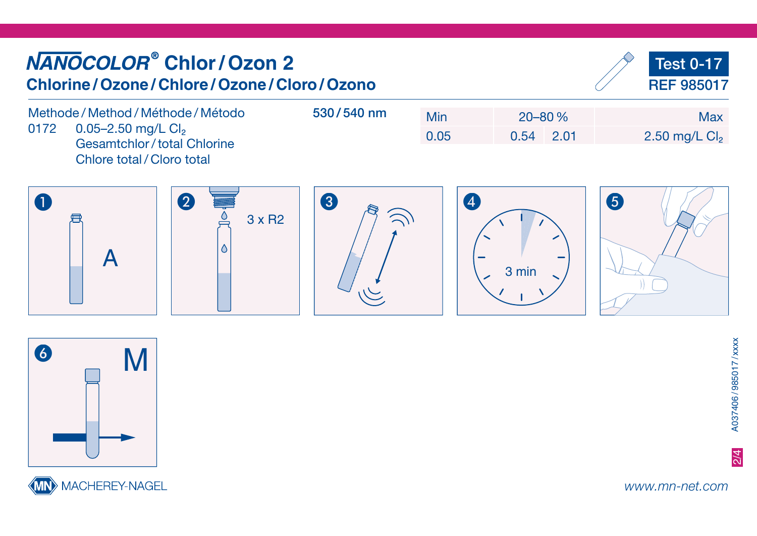## **Chlor / Ozon 2** Test 0-17 **Chlorine / Ozone / Chlore / Ozone / Cloro / Ozono**REF 985017 Methode / Method / Méthode / Método 530 / 540 nmMin 20–80 % Max0172 0.05-2.50 mg/L Cl<sub>2</sub> 0.05 0.54 2.01 2.50 mg/L Cl<sub>2</sub> Gesamtchlor / total Chlorine Chlore total / Cloro total A B C D E 4 3 x R2 $\triangle$ A3 min





www.mn-net.com

2/4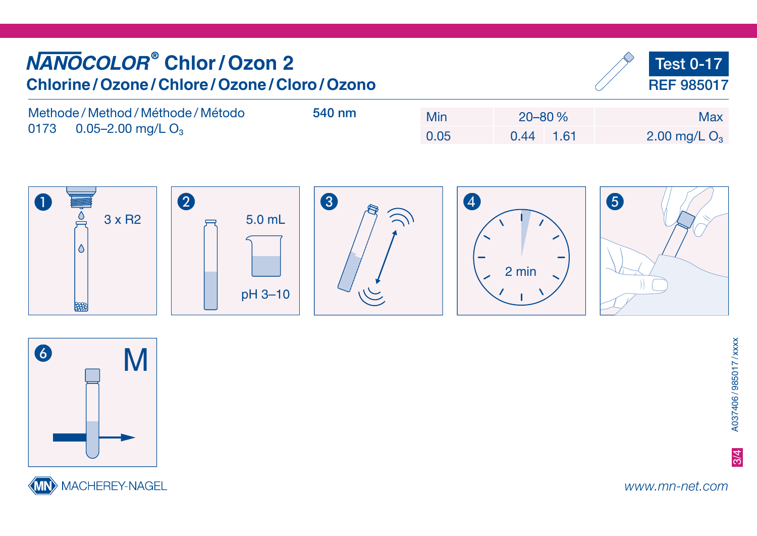| <b>NANOCOLOR<sup>®</sup> Chlor / Ozon 2</b><br>Chlorine / Ozone / Chlore / Ozone / Cloro / Ozono |        |      |      |            |  | Test 0-17<br>REF 985017 |
|--------------------------------------------------------------------------------------------------|--------|------|------|------------|--|-------------------------|
| Methode / Method / Méthode / Método<br>0173 0.05-2.00 mg/L $O_3$                                 | 540 nm | Min  |      | $20 - 80%$ |  | <b>Max</b>              |
|                                                                                                  |        | 0.05 | 0.44 | $-1.61$    |  | 2.00 mg/L $O_3$         |
|                                                                                                  |        |      |      |            |  |                         |







www.mn-net.com

3/4

A037406 / 985017 / xxxx

A037406/985017/xxxx